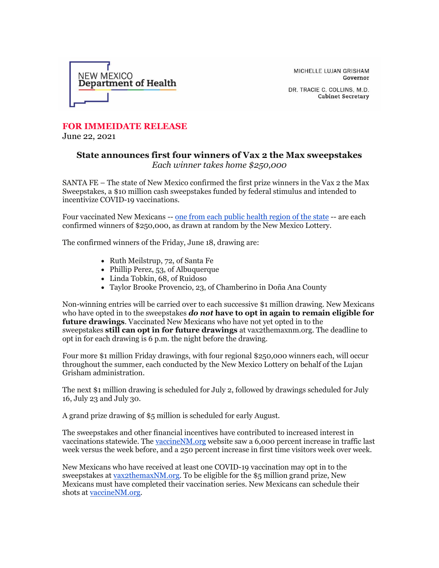

MICHELLE LUJAN GRISHAM Governor

DR. TRACIE C. COLLINS, M.D. **Cabinet Secretary** 

## **FOR IMMEIDATE RELEASE**

June 22, 2021

## **State announces first four winners of Vax 2 the Max sweepstakes** *Each winner takes home \$250,000*

SANTA FE – The state of New Mexico confirmed the first prize winners in the Vax 2 the Max Sweepstakes, a \$10 million cash sweepstakes funded by federal stimulus and intended to incentivize COVID-19 vaccinations.

Four vaccinated New Mexicans -- one from each public [health region of the state](https://r20.rs6.net/tn.jsp?f=001E2QZkKKTgU_pxYTSCoAeeoZaznyoQML41xxQpyxT-Qqq28bfcAWcEDPI_yR6zG8-R7h-Pnz-p2OEGBftBO-ltNFQU_BDueU_Ytnxyrc7D2BArVBejQh0Xhvk5xUhyhl1F9df03sMkHSZ1H9W2AAM7rOGuiHwytDfDIGfCjNns2Q66kAC5l-WE1eVTSJ31GFagk7fyUhg7gZ-mOkN99KFCI5_vCCxyi7w&c=YMgngMOgbnkL8sKzkmz7fAvq9O3vtietT5CIPXX7wENk5saq0cxJiQ==&ch=6XC6HKlyBLjo1pcSIv-NQ1uRXtdVn77F0EjUZB_f-iictcZC6F425g==) -- are each confirmed winners of \$250,000, as drawn at random by the New Mexico Lottery.

The confirmed winners of the Friday, June 18, drawing are:

- Ruth Meilstrup, 72, of Santa Fe
- Phillip Perez, 53, of Albuquerque
- Linda Tobkin, 68, of Ruidoso
- Taylor Brooke Provencio, 23, of Chamberino in Doña Ana County

Non-winning entries will be carried over to each successive \$1 million drawing. New Mexicans who have opted in to the sweepstakes *do not* **have to opt in again to remain eligible for future drawings**. Vaccinated New Mexicans who have not yet opted in to the sweepstakes **still can opt in for future drawings** at vax2themaxnm.org. The deadline to opt in for each drawing is 6 p.m. the night before the drawing.

Four more \$1 million Friday drawings, with four regional \$250,000 winners each, will occur throughout the summer, each conducted by the New Mexico Lottery on behalf of the Lujan Grisham administration.

The next \$1 million drawing is scheduled for July 2, followed by drawings scheduled for July 16, July 23 and July 30.

A grand prize drawing of \$5 million is scheduled for early August.

The sweepstakes and other financial incentives have contributed to increased interest in vaccinations statewide. The [vaccineNM.org](https://r20.rs6.net/tn.jsp?f=001E2QZkKKTgU_pxYTSCoAeeoZaznyoQML41xxQpyxT-Qqq28bfcAWcEDPI_yR6zG8-9ed8nNRTNd_ZHtTUbUeG03Wu4_9rA0irfbcx7S-axnhbdwUZs8w55emJVUVYCqhXu1cck3AKjnjSO2xvHO6ySDlZxTEUswS6_nTlGOjikRfUzsuV1v1nY26p1iNce0Nc33529yd9oSUVr8OrbVh6oj3_6oFUrFUZ&c=YMgngMOgbnkL8sKzkmz7fAvq9O3vtietT5CIPXX7wENk5saq0cxJiQ==&ch=6XC6HKlyBLjo1pcSIv-NQ1uRXtdVn77F0EjUZB_f-iictcZC6F425g==) website saw a 6,000 percent increase in traffic last week versus the week before, and a 250 percent increase in first time visitors week over week.

New Mexicans who have received at least one COVID-19 vaccination may opt in to the sweepstakes at [vax2themaxNM.org.](https://r20.rs6.net/tn.jsp?f=001E2QZkKKTgU_pxYTSCoAeeoZaznyoQML41xxQpyxT-Qqq28bfcAWcEDPI_yR6zG8-XqZJVRQJrh4yIiIgXQlY23a54eTKgdcJpzRsF_MWNAIoazh3Mi0XFzjm-jqKrL6NiE0gKpgMx1qeImsjr0EOdpDBIx7PUUaVDEvZ8uo_NGjTfIuZaRlhbf6_BZUTQ4MMdH5GkTpmBHaSvr8AwtlLDNhOQ37JWlkb&c=YMgngMOgbnkL8sKzkmz7fAvq9O3vtietT5CIPXX7wENk5saq0cxJiQ==&ch=6XC6HKlyBLjo1pcSIv-NQ1uRXtdVn77F0EjUZB_f-iictcZC6F425g==) To be eligible for the \$5 million grand prize, New Mexicans must have completed their vaccination series. New Mexicans can schedule their shots at [vaccineNM.org.](https://r20.rs6.net/tn.jsp?f=001E2QZkKKTgU_pxYTSCoAeeoZaznyoQML41xxQpyxT-Qqq28bfcAWcEDPI_yR6zG8-SFicehmRio9A-aFLXqfEitBFQ28anOXyDyVg8HG8hbSJgHxSPpJZDpVB1HVVMxGtMJFegSzo57XuD0emaLO7ljLx277yCqx9gctzodSGQjF8Yt-o8Kpqjt7BFlTRlVFx74VgCtpVjcCRtlVrkKefhrZSg2iT3zxz&c=YMgngMOgbnkL8sKzkmz7fAvq9O3vtietT5CIPXX7wENk5saq0cxJiQ==&ch=6XC6HKlyBLjo1pcSIv-NQ1uRXtdVn77F0EjUZB_f-iictcZC6F425g==)